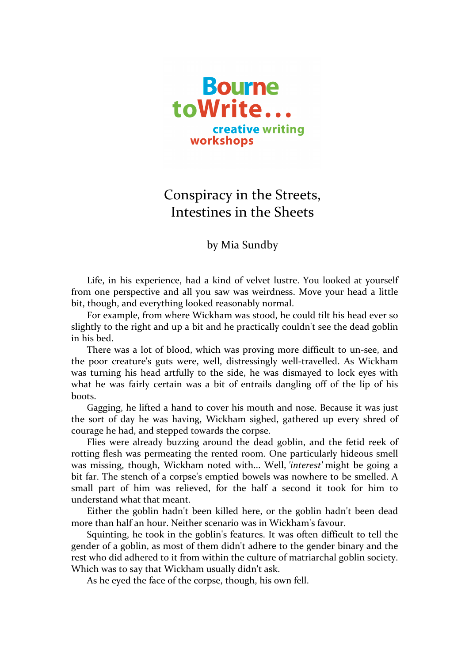

## Conspiracy in the Streets, Intestines in the Sheets

by Mia Sundby

Life, in his experience, had a kind of velvet lustre. You looked at yourself from one perspective and all you saw was weirdness. Move your head a little bit, though, and everything looked reasonably normal.

For example, from where Wickham was stood, he could tilt his head ever so slightly to the right and up a bit and he practically couldn't see the dead goblin in his bed.

There was a lot of blood, which was proving more difficult to un-see, and the poor creature's guts were, well, distressingly well-travelled. As Wickham was turning his head artfully to the side, he was dismayed to lock eyes with what he was fairly certain was a bit of entrails dangling off of the lip of his boots.

Gagging, he lifted a hand to cover his mouth and nose. Because it was just the sort of day he was having, Wickham sighed, gathered up every shred of courage he had, and stepped towards the corpse.

Flies were already buzzing around the dead goblin, and the fetid reek of rotting flesh was permeating the rented room. One particularly hideous smell was missing, though, Wickham noted with... Well, *'interest'* might be going a bit far. The stench of a corpse's emptied bowels was nowhere to be smelled. A small part of him was relieved, for the half a second it took for him to understand what that meant.

Either the goblin hadn't been killed here, or the goblin hadn't been dead more than half an hour. Neither scenario was in Wickham's favour.

Squinting, he took in the goblin's features. It was often difficult to tell the gender of a goblin, as most of them didn't adhere to the gender binary and the rest who did adhered to it from within the culture of matriarchal goblin society. Which was to say that Wickham usually didn't ask.

As he eyed the face of the corpse, though, his own fell.